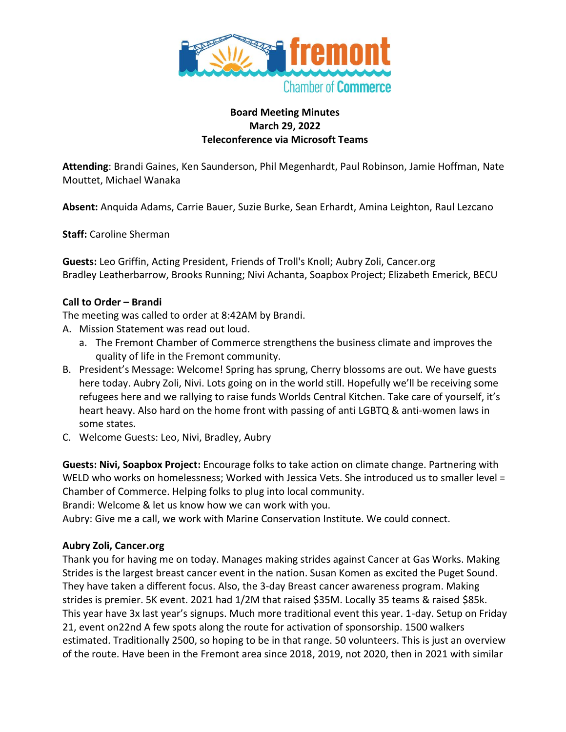

## **Board Meeting Minutes March 29, 2022 Teleconference via Microsoft Teams**

**Attending**: Brandi Gaines, Ken Saunderson, Phil Megenhardt, Paul Robinson, Jamie Hoffman, Nate Mouttet, Michael Wanaka

**Absent:** Anquida Adams, Carrie Bauer, Suzie Burke, Sean Erhardt, Amina Leighton, Raul Lezcano

**Staff:** Caroline Sherman

**Guests:** Leo Griffin, Acting President, Friends of Troll's Knoll; Aubry Zoli, Cancer.org Bradley Leatherbarrow, Brooks Running; Nivi Achanta, Soapbox Project; Elizabeth Emerick, BECU

# **Call to Order – Brandi**

The meeting was called to order at 8:42AM by Brandi.

- A. Mission Statement was read out loud.
	- a. The Fremont Chamber of Commerce strengthens the business climate and improves the quality of life in the Fremont community.
- B. President's Message: Welcome! Spring has sprung, Cherry blossoms are out. We have guests here today. Aubry Zoli, Nivi. Lots going on in the world still. Hopefully we'll be receiving some refugees here and we rallying to raise funds Worlds Central Kitchen. Take care of yourself, it's heart heavy. Also hard on the home front with passing of anti LGBTQ & anti-women laws in some states.
- C. Welcome Guests: Leo, Nivi, Bradley, Aubry

**Guests: Nivi, Soapbox Project:** Encourage folks to take action on climate change. Partnering with WELD who works on homelessness; Worked with Jessica Vets. She introduced us to smaller level = Chamber of Commerce. Helping folks to plug into local community.

Brandi: Welcome & let us know how we can work with you.

Aubry: Give me a call, we work with Marine Conservation Institute. We could connect.

# **Aubry Zoli, Cancer.org**

Thank you for having me on today. Manages making strides against Cancer at Gas Works. Making Strides is the largest breast cancer event in the nation. Susan Komen as excited the Puget Sound. They have taken a different focus. Also, the 3-day Breast cancer awareness program. Making strides is premier. 5K event. 2021 had 1/2M that raised \$35M. Locally 35 teams & raised \$85k. This year have 3x last year's signups. Much more traditional event this year. 1-day. Setup on Friday 21, event on22nd A few spots along the route for activation of sponsorship. 1500 walkers estimated. Traditionally 2500, so hoping to be in that range. 50 volunteers. This is just an overview of the route. Have been in the Fremont area since 2018, 2019, not 2020, then in 2021 with similar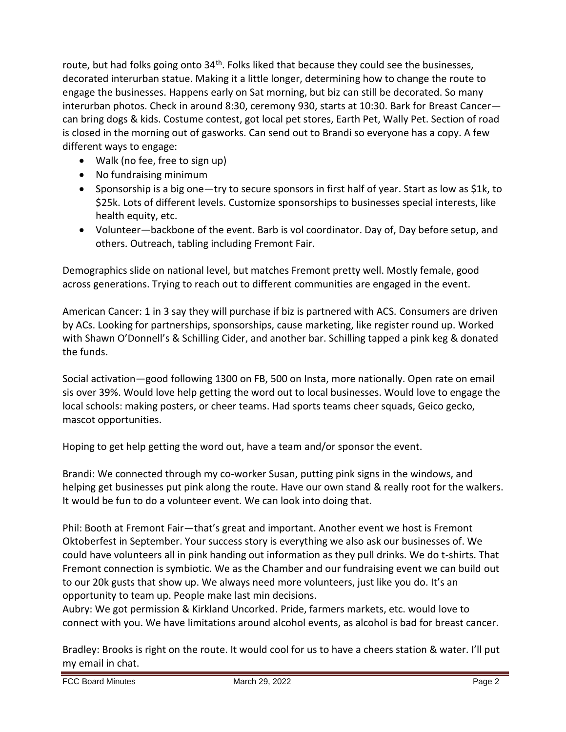route, but had folks going onto 34<sup>th</sup>. Folks liked that because they could see the businesses, decorated interurban statue. Making it a little longer, determining how to change the route to engage the businesses. Happens early on Sat morning, but biz can still be decorated. So many interurban photos. Check in around 8:30, ceremony 930, starts at 10:30. Bark for Breast Cancer can bring dogs & kids. Costume contest, got local pet stores, Earth Pet, Wally Pet. Section of road is closed in the morning out of gasworks. Can send out to Brandi so everyone has a copy. A few different ways to engage:

- Walk (no fee, free to sign up)
- No fundraising minimum
- Sponsorship is a big one—try to secure sponsors in first half of year. Start as low as \$1k, to \$25k. Lots of different levels. Customize sponsorships to businesses special interests, like health equity, etc.
- Volunteer—backbone of the event. Barb is vol coordinator. Day of, Day before setup, and others. Outreach, tabling including Fremont Fair.

Demographics slide on national level, but matches Fremont pretty well. Mostly female, good across generations. Trying to reach out to different communities are engaged in the event.

American Cancer: 1 in 3 say they will purchase if biz is partnered with ACS. Consumers are driven by ACs. Looking for partnerships, sponsorships, cause marketing, like register round up. Worked with Shawn O'Donnell's & Schilling Cider, and another bar. Schilling tapped a pink keg & donated the funds.

Social activation—good following 1300 on FB, 500 on Insta, more nationally. Open rate on email sis over 39%. Would love help getting the word out to local businesses. Would love to engage the local schools: making posters, or cheer teams. Had sports teams cheer squads, Geico gecko, mascot opportunities.

Hoping to get help getting the word out, have a team and/or sponsor the event.

Brandi: We connected through my co-worker Susan, putting pink signs in the windows, and helping get businesses put pink along the route. Have our own stand & really root for the walkers. It would be fun to do a volunteer event. We can look into doing that.

Phil: Booth at Fremont Fair—that's great and important. Another event we host is Fremont Oktoberfest in September. Your success story is everything we also ask our businesses of. We could have volunteers all in pink handing out information as they pull drinks. We do t-shirts. That Fremont connection is symbiotic. We as the Chamber and our fundraising event we can build out to our 20k gusts that show up. We always need more volunteers, just like you do. It's an opportunity to team up. People make last min decisions.

Aubry: We got permission & Kirkland Uncorked. Pride, farmers markets, etc. would love to connect with you. We have limitations around alcohol events, as alcohol is bad for breast cancer.

Bradley: Brooks is right on the route. It would cool for us to have a cheers station & water. I'll put my email in chat.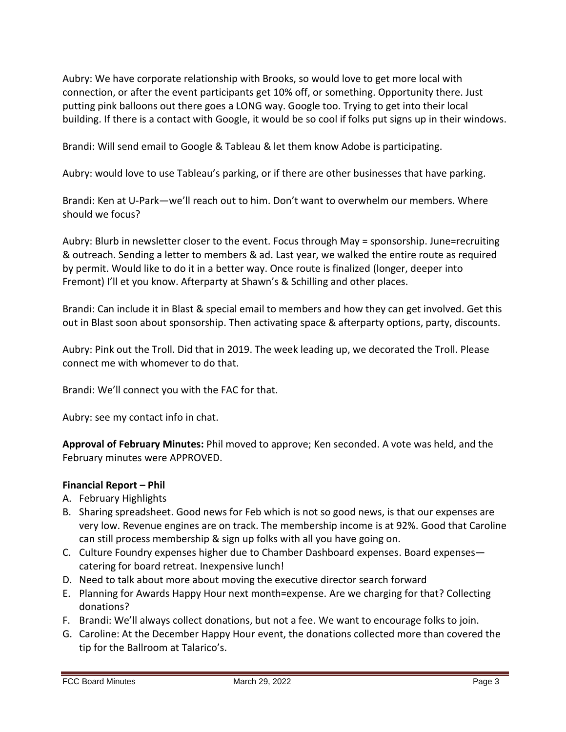Aubry: We have corporate relationship with Brooks, so would love to get more local with connection, or after the event participants get 10% off, or something. Opportunity there. Just putting pink balloons out there goes a LONG way. Google too. Trying to get into their local building. If there is a contact with Google, it would be so cool if folks put signs up in their windows.

Brandi: Will send email to Google & Tableau & let them know Adobe is participating.

Aubry: would love to use Tableau's parking, or if there are other businesses that have parking.

Brandi: Ken at U-Park—we'll reach out to him. Don't want to overwhelm our members. Where should we focus?

Aubry: Blurb in newsletter closer to the event. Focus through May = sponsorship. June=recruiting & outreach. Sending a letter to members & ad. Last year, we walked the entire route as required by permit. Would like to do it in a better way. Once route is finalized (longer, deeper into Fremont) I'll et you know. Afterparty at Shawn's & Schilling and other places.

Brandi: Can include it in Blast & special email to members and how they can get involved. Get this out in Blast soon about sponsorship. Then activating space & afterparty options, party, discounts.

Aubry: Pink out the Troll. Did that in 2019. The week leading up, we decorated the Troll. Please connect me with whomever to do that.

Brandi: We'll connect you with the FAC for that.

Aubry: see my contact info in chat.

**Approval of February Minutes:** Phil moved to approve; Ken seconded. A vote was held, and the February minutes were APPROVED.

# **Financial Report – Phil**

- A. February Highlights
- B. Sharing spreadsheet. Good news for Feb which is not so good news, is that our expenses are very low. Revenue engines are on track. The membership income is at 92%. Good that Caroline can still process membership & sign up folks with all you have going on.
- C. Culture Foundry expenses higher due to Chamber Dashboard expenses. Board expenses catering for board retreat. Inexpensive lunch!
- D. Need to talk about more about moving the executive director search forward
- E. Planning for Awards Happy Hour next month=expense. Are we charging for that? Collecting donations?
- F. Brandi: We'll always collect donations, but not a fee. We want to encourage folks to join.
- G. Caroline: At the December Happy Hour event, the donations collected more than covered the tip for the Ballroom at Talarico's.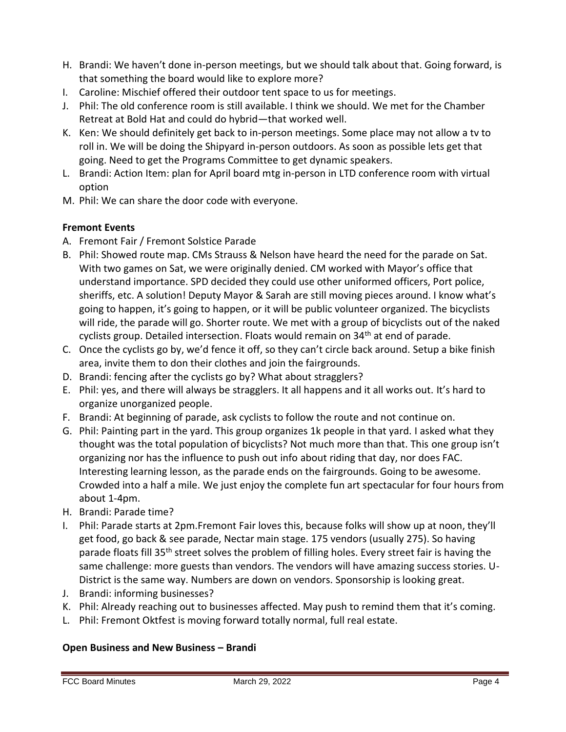- H. Brandi: We haven't done in-person meetings, but we should talk about that. Going forward, is that something the board would like to explore more?
- I. Caroline: Mischief offered their outdoor tent space to us for meetings.
- J. Phil: The old conference room is still available. I think we should. We met for the Chamber Retreat at Bold Hat and could do hybrid—that worked well.
- K. Ken: We should definitely get back to in-person meetings. Some place may not allow a tv to roll in. We will be doing the Shipyard in-person outdoors. As soon as possible lets get that going. Need to get the Programs Committee to get dynamic speakers.
- L. Brandi: Action Item: plan for April board mtg in-person in LTD conference room with virtual option
- M. Phil: We can share the door code with everyone.

# **Fremont Events**

- A. Fremont Fair / Fremont Solstice Parade
- B. Phil: Showed route map. CMs Strauss & Nelson have heard the need for the parade on Sat. With two games on Sat, we were originally denied. CM worked with Mayor's office that understand importance. SPD decided they could use other uniformed officers, Port police, sheriffs, etc. A solution! Deputy Mayor & Sarah are still moving pieces around. I know what's going to happen, it's going to happen, or it will be public volunteer organized. The bicyclists will ride, the parade will go. Shorter route. We met with a group of bicyclists out of the naked cyclists group. Detailed intersection. Floats would remain on  $34<sup>th</sup>$  at end of parade.
- C. Once the cyclists go by, we'd fence it off, so they can't circle back around. Setup a bike finish area, invite them to don their clothes and join the fairgrounds.
- D. Brandi: fencing after the cyclists go by? What about stragglers?
- E. Phil: yes, and there will always be stragglers. It all happens and it all works out. It's hard to organize unorganized people.
- F. Brandi: At beginning of parade, ask cyclists to follow the route and not continue on.
- G. Phil: Painting part in the yard. This group organizes 1k people in that yard. I asked what they thought was the total population of bicyclists? Not much more than that. This one group isn't organizing nor has the influence to push out info about riding that day, nor does FAC. Interesting learning lesson, as the parade ends on the fairgrounds. Going to be awesome. Crowded into a half a mile. We just enjoy the complete fun art spectacular for four hours from about 1-4pm.
- H. Brandi: Parade time?
- I. Phil: Parade starts at 2pm.Fremont Fair loves this, because folks will show up at noon, they'll get food, go back & see parade, Nectar main stage. 175 vendors (usually 275). So having parade floats fill 35<sup>th</sup> street solves the problem of filling holes. Every street fair is having the same challenge: more guests than vendors. The vendors will have amazing success stories. U-District is the same way. Numbers are down on vendors. Sponsorship is looking great.
- J. Brandi: informing businesses?
- K. Phil: Already reaching out to businesses affected. May push to remind them that it's coming.
- L. Phil: Fremont Oktfest is moving forward totally normal, full real estate.

## **Open Business and New Business – Brandi**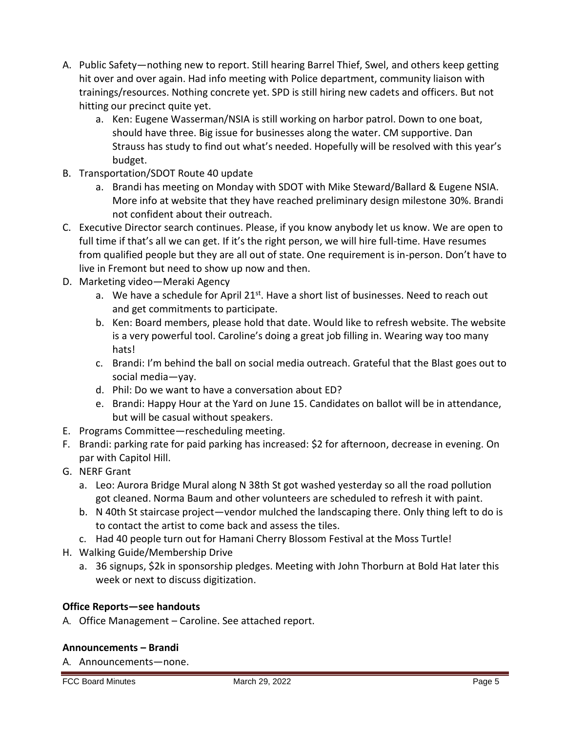- A. Public Safety—nothing new to report. Still hearing Barrel Thief, Swel, and others keep getting hit over and over again. Had info meeting with Police department, community liaison with trainings/resources. Nothing concrete yet. SPD is still hiring new cadets and officers. But not hitting our precinct quite yet.
	- a. Ken: Eugene Wasserman/NSIA is still working on harbor patrol. Down to one boat, should have three. Big issue for businesses along the water. CM supportive. Dan Strauss has study to find out what's needed. Hopefully will be resolved with this year's budget.
- B. Transportation/SDOT Route 40 update
	- a. Brandi has meeting on Monday with SDOT with Mike Steward/Ballard & Eugene NSIA. More info at website that they have reached preliminary design milestone 30%. Brandi not confident about their outreach.
- C. Executive Director search continues. Please, if you know anybody let us know. We are open to full time if that's all we can get. If it's the right person, we will hire full-time. Have resumes from qualified people but they are all out of state. One requirement is in-person. Don't have to live in Fremont but need to show up now and then.
- D. Marketing video—Meraki Agency
	- a. We have a schedule for April  $21^{st}$ . Have a short list of businesses. Need to reach out and get commitments to participate.
	- b. Ken: Board members, please hold that date. Would like to refresh website. The website is a very powerful tool. Caroline's doing a great job filling in. Wearing way too many hats!
	- c. Brandi: I'm behind the ball on social media outreach. Grateful that the Blast goes out to social media—yay.
	- d. Phil: Do we want to have a conversation about ED?
	- e. Brandi: Happy Hour at the Yard on June 15. Candidates on ballot will be in attendance, but will be casual without speakers.
- E. Programs Committee—rescheduling meeting.
- F. Brandi: parking rate for paid parking has increased: \$2 for afternoon, decrease in evening. On par with Capitol Hill.
- G. NERF Grant
	- a. Leo: Aurora Bridge Mural along N 38th St got washed yesterday so all the road pollution got cleaned. Norma Baum and other volunteers are scheduled to refresh it with paint.
	- b. N 40th St staircase project—vendor mulched the landscaping there. Only thing left to do is to contact the artist to come back and assess the tiles.
	- c. Had 40 people turn out for Hamani Cherry Blossom Festival at the Moss Turtle!
- H. Walking Guide/Membership Drive
	- a. 36 signups, \$2k in sponsorship pledges. Meeting with John Thorburn at Bold Hat later this week or next to discuss digitization.

## **Office Reports—see handouts**

A. Office Management – Caroline. See attached report.

## **Announcements – Brandi**

A. Announcements—none.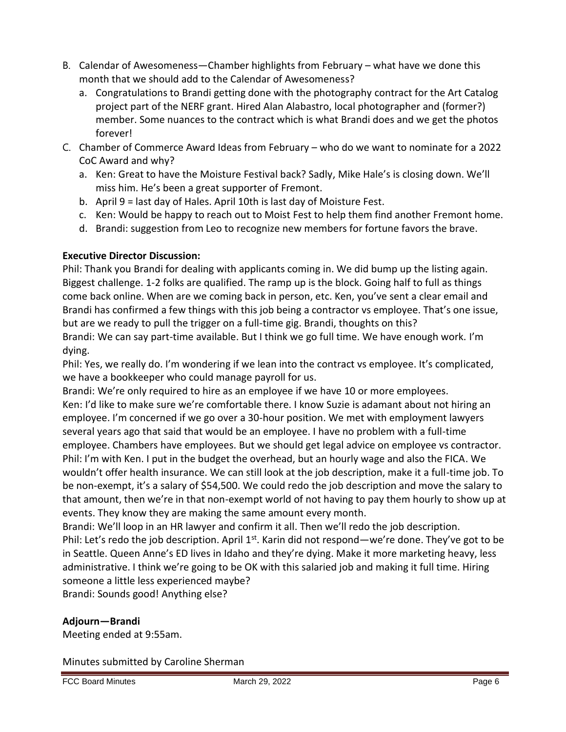- B. Calendar of Awesomeness—Chamber highlights from February what have we done this month that we should add to the Calendar of Awesomeness?
	- a. Congratulations to Brandi getting done with the photography contract for the Art Catalog project part of the NERF grant. Hired Alan Alabastro, local photographer and (former?) member. Some nuances to the contract which is what Brandi does and we get the photos forever!
- C. Chamber of Commerce Award Ideas from February who do we want to nominate for a 2022 CoC Award and why?
	- a. Ken: Great to have the Moisture Festival back? Sadly, Mike Hale's is closing down. We'll miss him. He's been a great supporter of Fremont.
	- b. April 9 = last day of Hales. April 10th is last day of Moisture Fest.
	- c. Ken: Would be happy to reach out to Moist Fest to help them find another Fremont home.
	- d. Brandi: suggestion from Leo to recognize new members for fortune favors the brave.

# **Executive Director Discussion:**

Phil: Thank you Brandi for dealing with applicants coming in. We did bump up the listing again. Biggest challenge. 1-2 folks are qualified. The ramp up is the block. Going half to full as things come back online. When are we coming back in person, etc. Ken, you've sent a clear email and Brandi has confirmed a few things with this job being a contractor vs employee. That's one issue, but are we ready to pull the trigger on a full-time gig. Brandi, thoughts on this? Brandi: We can say part-time available. But I think we go full time. We have enough work. I'm dying.

Phil: Yes, we really do. I'm wondering if we lean into the contract vs employee. It's complicated, we have a bookkeeper who could manage payroll for us.

Brandi: We're only required to hire as an employee if we have 10 or more employees.

Ken: I'd like to make sure we're comfortable there. I know Suzie is adamant about not hiring an employee. I'm concerned if we go over a 30-hour position. We met with employment lawyers several years ago that said that would be an employee. I have no problem with a full-time employee. Chambers have employees. But we should get legal advice on employee vs contractor. Phil: I'm with Ken. I put in the budget the overhead, but an hourly wage and also the FICA. We wouldn't offer health insurance. We can still look at the job description, make it a full-time job. To be non-exempt, it's a salary of \$54,500. We could redo the job description and move the salary to that amount, then we're in that non-exempt world of not having to pay them hourly to show up at events. They know they are making the same amount every month.

Brandi: We'll loop in an HR lawyer and confirm it all. Then we'll redo the job description. Phil: Let's redo the job description. April 1<sup>st</sup>. Karin did not respond—we're done. They've got to be in Seattle. Queen Anne's ED lives in Idaho and they're dying. Make it more marketing heavy, less administrative. I think we're going to be OK with this salaried job and making it full time. Hiring someone a little less experienced maybe? Brandi: Sounds good! Anything else?

# **Adjourn—Brandi**

Meeting ended at 9:55am.

Minutes submitted by Caroline Sherman